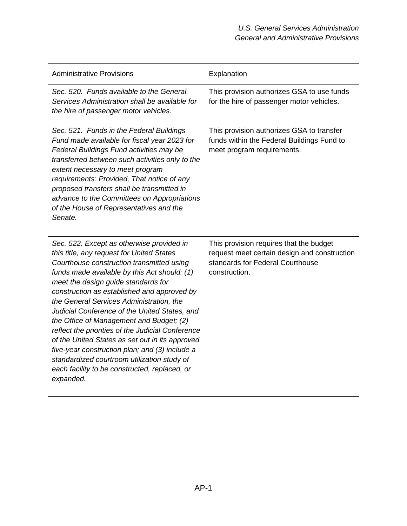| <b>Administrative Provisions</b>                                                                                                                                                                                                                                                                                                                                                                                                                                                                                                                                                                                                                                                          | Explanation                                                                                                                                  |
|-------------------------------------------------------------------------------------------------------------------------------------------------------------------------------------------------------------------------------------------------------------------------------------------------------------------------------------------------------------------------------------------------------------------------------------------------------------------------------------------------------------------------------------------------------------------------------------------------------------------------------------------------------------------------------------------|----------------------------------------------------------------------------------------------------------------------------------------------|
| Sec. 520. Funds available to the General<br>Services Administration shall be available for<br>the hire of passenger motor vehicles.                                                                                                                                                                                                                                                                                                                                                                                                                                                                                                                                                       | This provision authorizes GSA to use funds<br>for the hire of passenger motor vehicles.                                                      |
| Sec. 521. Funds in the Federal Buildings<br>Fund made available for fiscal year 2023 for<br>Federal Buildings Fund activities may be<br>transferred between such activities only to the<br>extent necessary to meet program<br>requirements: Provided, That notice of any<br>proposed transfers shall be transmitted in<br>advance to the Committees on Appropriations<br>of the House of Representatives and the<br>Senate.                                                                                                                                                                                                                                                              | This provision authorizes GSA to transfer<br>funds within the Federal Buildings Fund to<br>meet program requirements.                        |
| Sec. 522. Except as otherwise provided in<br>this title, any request for United States<br>Courthouse construction transmitted using<br>funds made available by this Act should: (1)<br>meet the design guide standards for<br>construction as established and approved by<br>the General Services Administration, the<br>Judicial Conference of the United States, and<br>the Office of Management and Budget; (2)<br>reflect the priorities of the Judicial Conference<br>of the United States as set out in its approved<br>five-year construction plan; and (3) include a<br>standardized courtroom utilization study of<br>each facility to be constructed, replaced, or<br>expanded. | This provision requires that the budget<br>request meet certain design and construction<br>standards for Federal Courthouse<br>construction. |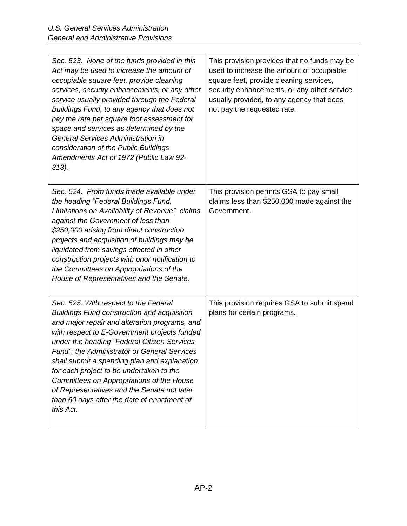| Sec. 523. None of the funds provided in this<br>Act may be used to increase the amount of                                                                                                                                                                                                                                                                                                                                                                                                                                                       | This provision provides that no funds may be<br>used to increase the amount of occupiable                                                                          |
|-------------------------------------------------------------------------------------------------------------------------------------------------------------------------------------------------------------------------------------------------------------------------------------------------------------------------------------------------------------------------------------------------------------------------------------------------------------------------------------------------------------------------------------------------|--------------------------------------------------------------------------------------------------------------------------------------------------------------------|
| occupiable square feet, provide cleaning<br>services, security enhancements, or any other<br>service usually provided through the Federal<br>Buildings Fund, to any agency that does not<br>pay the rate per square foot assessment for<br>space and services as determined by the<br><b>General Services Administration in</b><br>consideration of the Public Buildings<br>Amendments Act of 1972 (Public Law 92-<br>313).                                                                                                                     | square feet, provide cleaning services,<br>security enhancements, or any other service<br>usually provided, to any agency that does<br>not pay the requested rate. |
| Sec. 524. From funds made available under<br>the heading "Federal Buildings Fund,<br>Limitations on Availability of Revenue", claims<br>against the Government of less than<br>\$250,000 arising from direct construction<br>projects and acquisition of buildings may be<br>liquidated from savings effected in other<br>construction projects with prior notification to<br>the Committees on Appropriations of the<br>House of Representatives and the Senate.                                                                               | This provision permits GSA to pay small<br>claims less than \$250,000 made against the<br>Government.                                                              |
| Sec. 525. With respect to the Federal<br><b>Buildings Fund construction and acquisition</b><br>and major repair and alteration programs, and<br>with respect to E-Government projects funded<br>under the heading "Federal Citizen Services<br>Fund", the Administrator of General Services<br>shall submit a spending plan and explanation<br>for each project to be undertaken to the<br>Committees on Appropriations of the House<br>of Representatives and the Senate not later<br>than 60 days after the date of enactment of<br>this Act. | This provision requires GSA to submit spend<br>plans for certain programs.                                                                                         |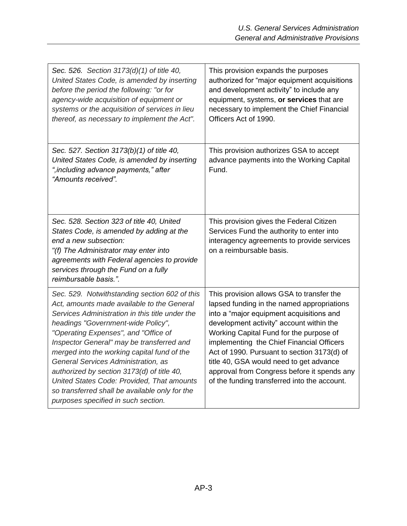| Sec. 526. Section 3173(d)(1) of title 40,<br>United States Code, is amended by inserting<br>before the period the following: "or for<br>agency-wide acquisition of equipment or<br>systems or the acquisition of services in lieu<br>thereof, as necessary to implement the Act".                                                                                                                                                                                                                                                                    | This provision expands the purposes<br>authorized for "major equipment acquisitions<br>and development activity" to include any<br>equipment, systems, or services that are<br>necessary to implement the Chief Financial<br>Officers Act of 1990.                                                                                                                                                                                                               |
|------------------------------------------------------------------------------------------------------------------------------------------------------------------------------------------------------------------------------------------------------------------------------------------------------------------------------------------------------------------------------------------------------------------------------------------------------------------------------------------------------------------------------------------------------|------------------------------------------------------------------------------------------------------------------------------------------------------------------------------------------------------------------------------------------------------------------------------------------------------------------------------------------------------------------------------------------------------------------------------------------------------------------|
| Sec. 527. Section 3173(b)(1) of title 40,<br>United States Code, is amended by inserting<br>", including advance payments," after<br>"Amounts received".                                                                                                                                                                                                                                                                                                                                                                                             | This provision authorizes GSA to accept<br>advance payments into the Working Capital<br>Fund.                                                                                                                                                                                                                                                                                                                                                                    |
| Sec. 528. Section 323 of title 40, United<br>States Code, is amended by adding at the<br>end a new subsection:<br>"(f) The Administrator may enter into<br>agreements with Federal agencies to provide<br>services through the Fund on a fully<br>reimbursable basis.".                                                                                                                                                                                                                                                                              | This provision gives the Federal Citizen<br>Services Fund the authority to enter into<br>interagency agreements to provide services<br>on a reimbursable basis.                                                                                                                                                                                                                                                                                                  |
| Sec. 529. Notwithstanding section 602 of this<br>Act, amounts made available to the General<br>Services Administration in this title under the<br>headings "Government-wide Policy",<br>"Operating Expenses", and "Office of<br>Inspector General" may be transferred and<br>merged into the working capital fund of the<br>General Services Administration, as<br>authorized by section 3173(d) of title 40,<br>United States Code: Provided, That amounts<br>so transferred shall be available only for the<br>purposes specified in such section. | This provision allows GSA to transfer the<br>lapsed funding in the named appropriations<br>into a "major equipment acquisitions and<br>development activity" account within the<br>Working Capital Fund for the purpose of<br>implementing the Chief Financial Officers<br>Act of 1990. Pursuant to section 3173(d) of<br>title 40, GSA would need to get advance<br>approval from Congress before it spends any<br>of the funding transferred into the account. |